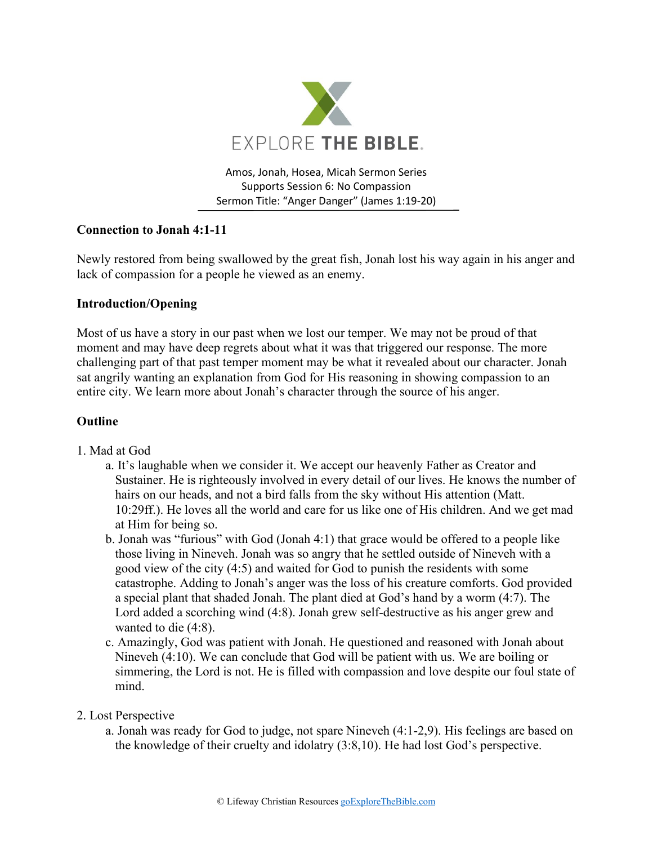

Amos, Jonah, Hosea, Micah Sermon Series Supports Session 6: No Compassion Sermon Title: "Anger Danger" (James 1:19-20)

## **Connection to Jonah 4:1-11**

Newly restored from being swallowed by the great fish, Jonah lost his way again in his anger and lack of compassion for a people he viewed as an enemy.

## **Introduction/Opening**

Most of us have a story in our past when we lost our temper. We may not be proud of that moment and may have deep regrets about what it was that triggered our response. The more challenging part of that past temper moment may be what it revealed about our character. Jonah sat angrily wanting an explanation from God for His reasoning in showing compassion to an entire city. We learn more about Jonah's character through the source of his anger.

## **Outline**

- 1. Mad at God
	- a. It's laughable when we consider it. We accept our heavenly Father as Creator and Sustainer. He is righteously involved in every detail of our lives. He knows the number of hairs on our heads, and not a bird falls from the sky without His attention (Matt. 10:29ff.). He loves all the world and care for us like one of His children. And we get mad at Him for being so.
	- b. Jonah was "furious" with God (Jonah 4:1) that grace would be offered to a people like those living in Nineveh. Jonah was so angry that he settled outside of Nineveh with a good view of the city (4:5) and waited for God to punish the residents with some catastrophe. Adding to Jonah's anger was the loss of his creature comforts. God provided a special plant that shaded Jonah. The plant died at God's hand by a worm (4:7). The Lord added a scorching wind (4:8). Jonah grew self-destructive as his anger grew and wanted to die (4:8).
	- c. Amazingly, God was patient with Jonah. He questioned and reasoned with Jonah about Nineveh (4:10). We can conclude that God will be patient with us. We are boiling or simmering, the Lord is not. He is filled with compassion and love despite our foul state of mind.
- 2. Lost Perspective
	- a. Jonah was ready for God to judge, not spare Nineveh (4:1-2,9). His feelings are based on the knowledge of their cruelty and idolatry (3:8,10). He had lost God's perspective.